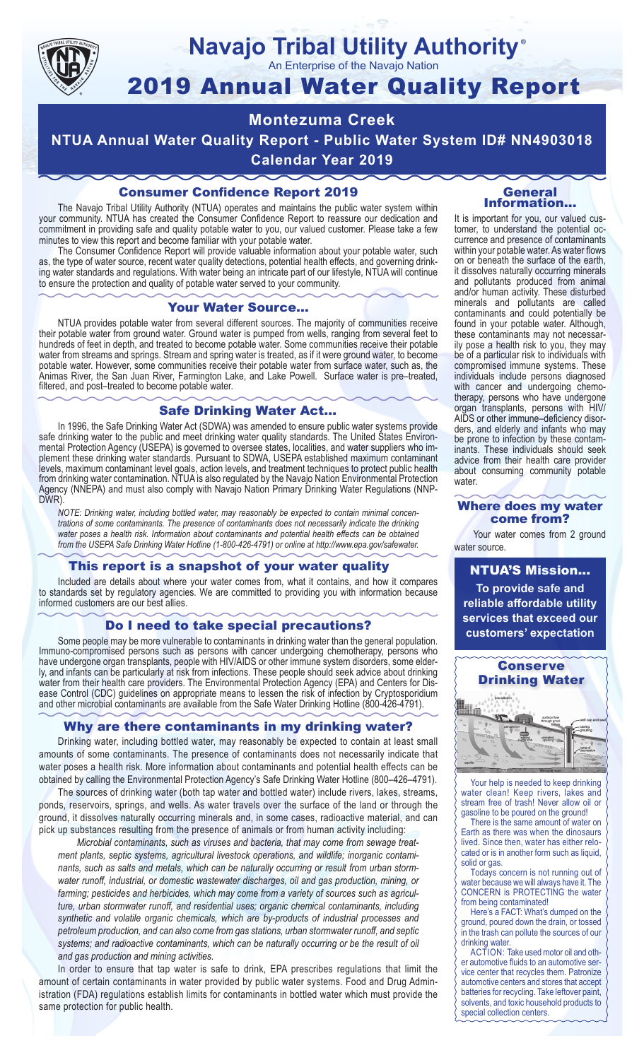

# **Navajo Tribal Utility Authority** ®

An Enterprise of the Navajo Nation

# 2019 Annual Water Quality Report

# **Montezuma Creek**

**NTUA Annual Water Quality Report - Public Water System ID# NN4903018**

**Calendar Year 2019**

# Consumer Confidence Report 2019

The Navajo Tribal Utility Authority (NTUA) operates and maintains the public water system within your community. NTUA has created the Consumer Confidence Report to reassure our dedication and commitment in providing safe and quality potable water to you, our valued customer. Please take a few minutes to view this report and become familiar with your potable water.

The Consumer Confidence Report will provide valuable information about your potable water, such as, the type of water source, recent water quality detections, potential health effects, and governing drinking water standards and regulations. With water being an intricate part of our lifestyle, NTUA will continue to ensure the protection and quality of potable water served to your community.

#### Your Water Source…

NTUA provides potable water from several different sources. The majority of communities receive their potable water from ground water. Ground water is pumped from wells, ranging from several feet to hundreds of feet in depth, and treated to become potable water. Some communities receive their potable water from streams and springs. Stream and spring water is treated, as if it were ground water, to become potable water. However, some communities receive their potable water from surface water, such as, the Animas River, the San Juan River, Farmington Lake, and Lake Powell. Surface water is pre–treated, filtered, and post–treated to become potable water.

## Safe Drinking Water Act…

In 1996, the Safe Drinking Water Act (SDWA) was amended to ensure public water systems provide safe drinking water to the public and meet drinking water quality standards. The United States Environmental Protection Agency (USEPA) is governed to oversee states, localities, and water suppliers who implement these drinking water standards. Pursuant to SDWA, USEPA established maximum contaminant levels, maximum contaminant level goals, action levels, and treatment techniques to protect public health from drinking water contamination. NTUA is also regulated by the Navajo Nation Environmental Protection Agency (NNEPA) and must also comply with Navajo Nation Primary Drinking Water Regulations (NNP-DWR)

*NOTE: Drinking water, including bottled water, may reasonably be expected to contain minimal concentrations of some contaminants. The presence of contaminants does not necessarily indicate the drinking water poses a health risk. Information about contaminants and potential health effects can be obtained from the USEPA Safe Drinking Water Hotline (1-800-426-4791) or online at http://www.epa.gov/safewater.*

## This report is a snapshot of your water quality

Included are details about where your water comes from, what it contains, and how it compares to standards set by regulatory agencies. We are committed to providing you with information because informed customers are our best allies.

# Do I need to take special precautions?

Some people may be more vulnerable to contaminants in drinking water than the general population. Immuno-compromised persons such as persons with cancer undergoing chemotherapy, persons who have undergone organ transplants, people with HIV/AIDS or other immune system disorders, some elderly, and infants can be particularly at risk from infections. These people should seek advice about drinking water from their health care providers. The Environmental Protection Agency (EPA) and Centers for Disease Control (CDC) guidelines on appropriate means to lessen the risk of infection by Cryptosporidium and other microbial contaminants are available from the Safe Water Drinking Hotline (800-426-4791).

# Why are there contaminants in my drinking water?

Drinking water, including bottled water, may reasonably be expected to contain at least small amounts of some contaminants. The presence of contaminants does not necessarily indicate that water poses a health risk. More information about contaminants and potential health effects can be obtained by calling the Environmental Protection Agency's Safe Drinking Water Hotline (800–426–4791).

The sources of drinking water (both tap water and bottled water) include rivers, lakes, streams, ponds, reservoirs, springs, and wells. As water travels over the surface of the land or through the ground, it dissolves naturally occurring minerals and, in some cases, radioactive material, and can pick up substances resulting from the presence of animals or from human activity including:

*Microbial contaminants, such as viruses and bacteria, that may come from sewage treatment plants, septic systems, agricultural livestock operations, and wildlife; inorganic contaminants, such as salts and metals, which can be naturally occurring or result from urban stormwater runoff, industrial, or domestic wastewater discharges, oil and gas production, mining, or farming; pesticides and herbicides, which may come from a variety of sources such as agriculture, urban stormwater runoff, and residential uses; organic chemical contaminants, including synthetic and volatile organic chemicals, which are by-products of industrial processes and petroleum production, and can also come from gas stations, urban stormwater runoff, and septic systems; and radioactive contaminants, which can be naturally occurring or be the result of oil and gas production and mining activities.*

In order to ensure that tap water is safe to drink, EPA prescribes regulations that limit the amount of certain contaminants in water provided by public water systems. Food and Drug Administration (FDA) regulations establish limits for contaminants in bottled water which must provide the same protection for public health.

#### General Information…

It is important for you, our valued customer, to understand the potential occurrence and presence of contaminants within your potable water. As water flows on or beneath the surface of the earth, it dissolves naturally occurring minerals and pollutants produced from animal and/or human activity. These disturbed minerals and pollutants are called contaminants and could potentially be found in your potable water. Although, these contaminants may not necessarily pose a health risk to you, they may be of a particular risk to individuals with compromised immune systems. These individuals include persons diagnosed with cancer and undergoing chemo-<br>therapy, persons who have undergone organ transplants, persons with HIV/ AIDS or other immune–deficiency disor- ders, and elderly and infants who may be prone to infection by these contam- inants. These individuals should seek advice from their health care provider about consuming community potable water.

#### Where does my water come from?

Your water comes from 2 ground water source.

NTUA'S Mission... **To provide safe and reliable affordable utility services that exceed our customers' expectation**



Your help is needed to keep drinking water clean! Keep rivers, lakes and stream free of trash! Never allow oil or gasoline to be poured on the ground!

There is the same amount of water on Earth as there was when the dinosaurs lived. Since then, water has either relocated or is in another form such as liquid, solid or gas.

Todays concern is not running out of water because we will always have it. The CONCERN is PROTECTING the water from being contaminated!

Here's a FACT: What's dumped on the ground, poured down the drain, or tossed in the trash can pollute the sources of our drinking water.

ACTION: Take used motor oil and other automotive fluids to an automotive service center that recycles them. Patronize automotive centers and stores that accept batteries for recycling. Take leftover paint, solvents, and toxic household products to special collection centers.